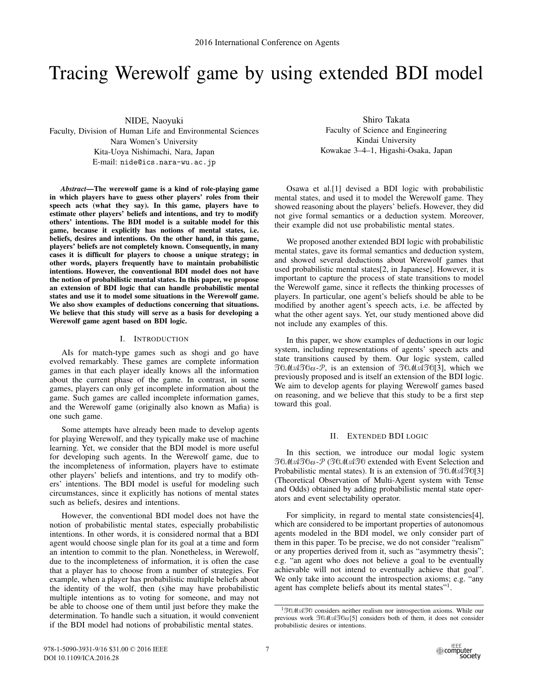# Tracing Werewolf game by using extended BDI model

NIDE, Naoyuki Faculty, Division of Human Life and Environmental Sciences Nara Women's University Kita-Uoya Nishimachi, Nara, Japan E-mail: nide@ics.nara-wu.ac.jp

*Abstract*—The werewolf game is a kind of role-playing game in which players have to guess other players' roles from their speech acts (what they say). In this game, players have to estimate other players' beliefs and intentions, and try to modify others' intentions. The BDI model is a suitable model for this game, because it explicitly has notions of mental states, i.e. beliefs, desires and intentions. On the other hand, in this game, players' beliefs are not completely known. Consequently, in many cases it is difficult for players to choose a unique strategy; in other words, players frequently have to maintain probabilistic intentions. However, the conventional BDI model does not have the notion of probabilistic mental states. In this paper, we propose an extension of BDI logic that can handle probabilistic mental states and use it to model some situations in the Werewolf game. We also show examples of deductions concerning that situations. We believe that this study will serve as a basis for developing a Werewolf game agent based on BDI logic.

## I. INTRODUCTION

AIs for match-type games such as shogi and go have evolved remarkably. These games are complete information games in that each player ideally knows all the information about the current phase of the game. In contrast, in some games, players can only get incomplete information about the game. Such games are called incomplete information games, and the Werewolf game (originally also known as Mafia) is one such game.

Some attempts have already been made to develop agents for playing Werewolf, and they typically make use of machine learning. Yet, we consider that the BDI model is more useful for developing such agents. In the Werewolf game, due to the incompleteness of information, players have to estimate other players' beliefs and intentions, and try to modify others' intentions. The BDI model is useful for modeling such circumstances, since it explicitly has notions of mental states such as beliefs, desires and intentions.

However, the conventional BDI model does not have the notion of probabilistic mental states, especially probabilistic intentions. In other words, it is considered normal that a BDI agent would choose single plan for its goal at a time and form an intention to commit to the plan. Nonetheless, in Werewolf, due to the incompleteness of information, it is often the case that a player has to choose from a number of strategies. For example, when a player has probabilistic multiple beliefs about the identity of the wolf, then (s)he may have probabilistic multiple intentions as to voting for someone, and may not be able to choose one of them until just before they make the determination. To handle such a situation, it would convenient if the BDI model had notions of probabilistic mental states.

Shiro Takata Faculty of Science and Engineering Kindai University Kowakae 3–4–1, Higashi-Osaka, Japan

Osawa et al.[1] devised a BDI logic with probabilistic mental states, and used it to model the Werewolf game. They showed reasoning about the players' beliefs. However, they did not give formal semantics or a deduction system. Moreover, their example did not use probabilistic mental states.

We proposed another extended BDI logic with probabilistic mental states, gave its formal semantics and deduction system, and showed several deductions about Werewolf games that used probabilistic mental states[2, in Japanese]. However, it is important to capture the process of state transitions to model the Werewolf game, since it reflects the thinking processes of players. In particular, one agent's beliefs should be able to be modified by another agent's speech acts, i.e. be affected by what the other agent says. Yet, our study mentioned above did not include any examples of this.

In this paper, we show examples of deductions in our logic system, including representations of agents' speech acts and state transitions caused by them. Our logic system, called TOMATO*es*-P, is an extension of TOMATO[3], which we previously proposed and is itself an extension of the BDI logic. We aim to develop agents for playing Werewolf games based on reasoning, and we believe that this study to be a first step toward this goal.

## II. EXTENDED BDI LOGIC

In this section, we introduce our modal logic system TOMATO*es*-P (TOMATOextended with Event Selection and Probabilistic mental states). It is an extension of  $\mathfrak{I}0\mathcal{M}\mathfrak{A}\mathfrak{I}0[3]$ (Theoretical Observation of Multi-Agent system with Tense and Odds) obtained by adding probabilistic mental state operators and event selectability operator.

For simplicity, in regard to mental state consistencies[4], which are considered to be important properties of autonomous agents modeled in the BDI model, we only consider part of them in this paper. To be precise, we do not consider "realism" or any properties derived from it, such as "asymmetry thesis"; e.g. "an agent who does not believe a goal to be eventually achievable will not intend to eventually achieve that goal". We only take into account the introspection axioms; e.g. "any agent has complete beliefs about its mental states"<sup>1</sup>.

<sup>&</sup>lt;sup>1</sup>TOMATO considers neither realism nor introspection axioms. While our previous work TOMATO*es*[5] considers both of them, it does not consider probabilistic desires or intentions.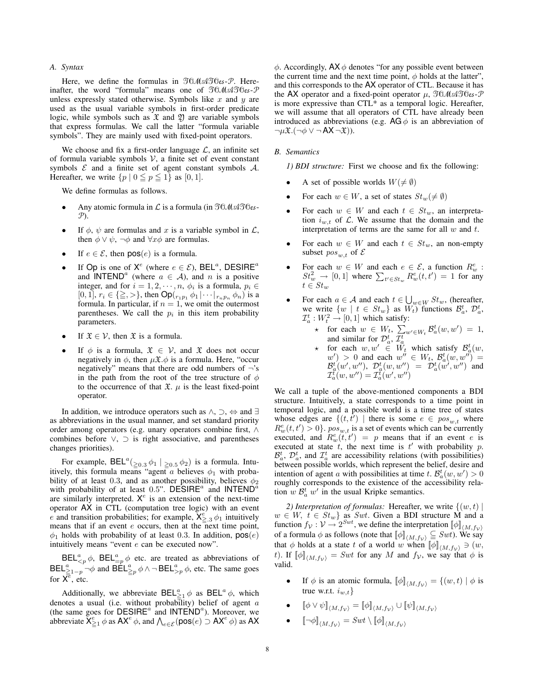# *A. Syntax*

Here, we define the formulas in TOMATO*es*-P. Hereinafter, the word "formula" means one of TOMATO*es*-P unless expressly stated otherwise. Symbols like  $x$  and  $y$  are used as the usual variable symbols in first-order predicate logic, while symbols such as  $\mathfrak X$  and  $\mathfrak Y$  are variable symbols that express formulas. We call the latter "formula variable symbols". They are mainly used with fixed-point operators.

We choose and fix a first-order language  $\mathcal{L}$ , an infinite set of formula variable symbols  $V$ , a finite set of event constant symbols  $\mathcal E$  and a finite set of agent constant symbols  $\mathcal A$ . Hereafter, we write  $\{p \mid 0 \leq p \leq 1\}$  as  $[0, 1]$ .

We define formulas as follows.

- Any atomic formula in L is a formula (in TOMATO*es*-P).
- If  $\phi$ ,  $\psi$  are formulas and x is a variable symbol in  $\mathcal{L}$ , then  $\phi \lor \psi$ ,  $\neg \phi$  and  $\forall x \phi$  are formulas.
- If  $e \in \mathcal{E}$ , then  $pos(e)$  is a formula.
- If Op is one of  $X^e$  (where  $e \in \mathcal{E}$ ), BEL<sup>a</sup>, DESIRE<sup>a</sup> and INTEND<sup>a</sup> (where  $a \in \mathcal{A}$ ), and n is a positive integer, and for  $i = 1, 2, \dots, n$ ,  $\phi_i$  is a formula,  $p_i \in$  $[0, 1], r_i \in \{\geq, >\},\$  then  $\mathsf{Op}(r_1p_1 \phi_1 | \cdots | r_np_n \phi_n)$  is a formula. In particular, if  $n = 1$ , we omit the outermost parentheses. We call the  $p_i$  in this item probability parameters.
- If  $\mathfrak{X} \in \mathcal{V}$ , then  $\mathfrak{X}$  is a formula.
- If  $\phi$  is a formula,  $\mathfrak{X} \in \mathcal{V}$ , and  $\mathfrak{X}$  does not occur negatively in  $\phi$ , then  $\mu \mathfrak{X} \cdot \phi$  is a formula. Here, "occur negatively" means that there are odd numbers of  $\neg$ 's in the path from the root of the tree structure of  $\phi$ to the occurrence of that  $\mathfrak{X}$ .  $\mu$  is the least fixed-point operator.

In addition, we introduce operators such as ∧, ⊃, ⇔ and ∃ as abbreviations in the usual manner, and set standard priority order among operators (e.g. unary operators combine first, ∧ combines before ∨, ⊃ is right associative, and parentheses changes priorities).

For example,  $BEL^{a}(\underline{\geq}0.3 \phi_1 | \underline{\geq}0.5 \phi_2)$  is a formula. Intuitively, this formula means "agent a believes  $\phi_1$  with probability of at least 0.3, and as another possibility, believes  $\phi_2$ with probability of at least 0.5". DESIRE<sup> $a$ </sup> and INTEND<sup> $a$ </sup> are similarly interpreted.  $X^e$  is an extension of the next-time operator AX in CTL (computation tree logic) with an event e and transition probabilities; for example,  $X_{\geq 3}^e \phi_1$  intuitively means that if an event  $e$  occurs, then at the next time point,  $\phi_1$  holds with probability of at least 0.3. In addition,  $pos(e)$ intuitively means "event  $e$  can be executed now".

 $BEL^a_{\leq p} \phi$ ,  $BEL^a_{=p} \phi$  etc. are treated as abbreviations of  $\textsf{BEL}_{\geq p}^{\alpha} \neg \phi$  and  $\textsf{BEL}_{\geq p}^{\alpha} \phi \wedge \neg \textsf{BEL}_{\geq p}^{\alpha} \phi$ , etc. The same goes for  $\overline{X}^{\overline{e}}$ , etc.

Additionally, we abbreviate  $BEL_{\geq 1}^{\alpha} \phi$  as  $BEL^{\alpha} \phi$ , which denotes a usual (i.e. without probability) belief of agent  $a$  (the same goes for DESIRE<sup>*a*</sup> and INTEND<sup>*a*</sup>). Moreover, we abbreviate  $X_{\geq 1}^e \phi$  as  $AX^e \phi$ , and  $\bigwedge_{e \in \mathcal{E}} (\text{pos}(e) \supset AX^e \phi)$  as AX  $\phi$ . Accordingly, AX $\phi$  denotes "for any possible event between the current time and the next time point,  $\phi$  holds at the latter", and this corresponds to the AX operator of CTL. Because it has the AX operator and a fixed-point operator μ, TOMATO*es*-P is more expressive than CTL\* as a temporal logic. Hereafter, we will assume that all operators of CTL have already been introduced as abbreviations (e.g. AG  $\phi$  is an abbreviation of  $\neg \mu \mathfrak{X}.(\neg \phi \vee \neg AX \neg \mathfrak{X})$ ).

# *B. Semantics*

*1) BDI structure:* First we choose and fix the following:

- A set of possible worlds  $W(\neq \emptyset)$
- For each  $w \in W$ , a set of states  $St_w(\neq \emptyset)$
- For each  $w \in W$  and each  $t \in St_w$ , an interpretation  $i_{w,t}$  of  $\mathcal{L}$ . We assume that the domain and the interpretation of terms are the same for all  $w$  and  $t$ .
- For each  $w \in W$  and each  $t \in St_w$ , an non-empty subset  $pos_{w,t}$  of  $\mathcal E$
- For each  $w \in W$  and each  $e \in \mathcal{E}$ , a function  $R_w^e$ :  $St_w^2 \rightarrow [0,1]$  where  $\sum_{t' \in St_w} R_w^e(t,t') = 1$  for any  $t \in St_m$
- For each  $a \in \mathcal{A}$  and each  $t \in \bigcup_{w \in W} St_w$ , (hereafter, we write  $\{w \mid t \in St_w\}$  as  $W_t$ ) functions  $\mathcal{B}_a^t$ ,  $\mathcal{D}_a^t$ ,  $\mathcal{I}_a^t : W_t^2 \to [0, 1]$  which satisfy:
	- $\star$  for each  $w \in W_t$ ,  $\sum_{w' \in W_t} \mathcal{B}_a^t(w, w') = 1$ ,
	- and similar for  $\mathcal{D}_a^t$ ,  $\mathcal{I}_a^t$ <br>  $\star$  for each  $w, w' \in W_t$  which satisfy  $\mathcal{B}_a^t(w)$ ,  $w'$  > 0 and each  $w'' \in W_t$ ,  $\mathcal{B}_a^t(w, w'') =$  $\mathcal{B}_{a}^{t}(w',w''), \mathcal{D}_{a}^{t}(w,w'') = \mathcal{D}_{a}^{t}(w',w'')$  and  $\mathcal{I}_{a}^{\tilde{t}}(w,w'')=\mathcal{I}_{a}^{\tilde{t}}(w',w'')$

We call a tuple of the above-mentioned components a BDI structure. Intuitively, a state corresponds to a time point in temporal logic, and a possible world is a time tree of states whose edges are  $\{(t, t') \mid \text{there is some } e \in pos_{w,t} \text{ where }$  $R_w^e(t,t') > 0$ .  $pos_{w,t}$  is a set of events which can be currently executed, and  $R_w^e(\vec{t}, t') = p$  means that if an event e is executed at state  $t$ , the next time is  $t'$  with probability  $p$ .  $\mathcal{B}_a^t$ ,  $\mathcal{D}_a^t$ , and  $\mathcal{I}_a^t$  are accessibility relations (with possibilities) between possible worlds, which represent the belief, desire and intention of agent a with possibilities at time t.  $\mathcal{B}_a^t(w, w') > 0$ roughly corresponds to the existence of the accessibility relation  $w \mathcal{B}_a^t w'$  in the usual Kripke semantics.

2) Interpretation of formulas: Hereafter, we write  $\{(w, t) \mid$  $w \in W$ ,  $t \in St_w$  as Swt. Given a BDI structure M and a function  $f_v : V \to 2^{Swt}$ , we define the interpretation  $[\![\phi]\!]_{\langle M, f_v \rangle}$ of a formula  $\phi$  as follows (note that  $[\![\phi]\!]_{\langle M,f_V\rangle} \subseteq Swt$ ). We say that  $\phi$  holds at a state t of a world w when  $[\![\phi]\!]_{\langle M,f_V\rangle} \ni (w,$ t). If  $[\![\phi]\!]_{\langle M,f_V\rangle} = Swt$  for any M and  $f_V$ , we say that  $\phi$  is valid.

- If  $\phi$  is an atomic formula,  $[\![\phi]\!]_{(M, f_v)} = \{(w, t) | \phi$  is true w.r.t.  $i_{w,t}$ }
- $[\![\phi \vee \psi]\!]_{\langle M,f_{\mathcal{V}}\rangle} = [\![\phi]\!]_{\langle M,f_{\mathcal{V}}\rangle} \cup [\![\psi]\!]_{\langle M,f_{\mathcal{V}}\rangle}$
- $\llbracket \neg \phi \rrbracket_{\langle M, f_{\mathcal{V}} \rangle} = Swt \setminus \llbracket \phi \rrbracket_{\langle M, f_{\mathcal{V}} \rangle}$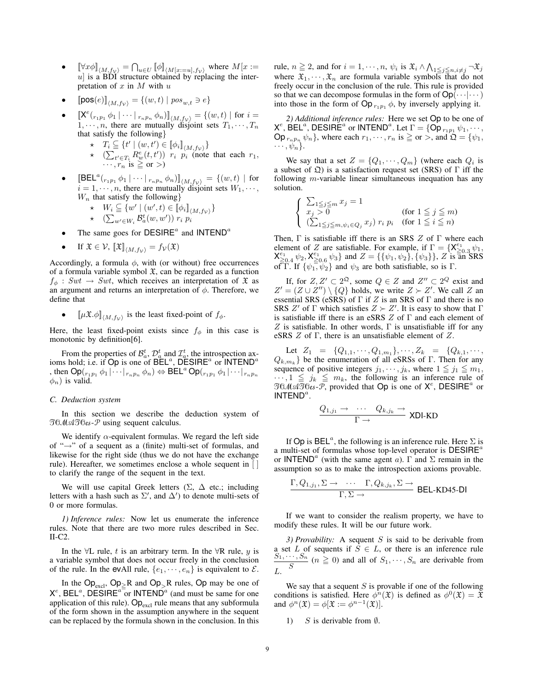- $[\forall x \phi]_{\langle M, f_V \rangle} = \bigcap_{u \in U} [\![\phi]\!]_{\langle M[x := u], f_V \rangle}$  where  $M[x := u]$  is a BDI structure obtained by replacing the interpretation of  $x$  in  $M$  with  $u$
- $[\![\texttt{pos}(e)]\!]_{\langle M, f_v \rangle} = \{(w, t) \mid pos_{w, t} \ni e\}$
- $[\mathbf{X}^e({}_{r_1p_1}\phi_1 | \cdots | {}_{r_np_n}\phi_n)]]_{\langle M,f_V\rangle} = \{(w,t) | \text{ for } i=1,\cdots,n, \text{ there are mutually disjoint sets } T_1,\cdots,T_n\}$ that satisfy the following}
	-
	- $\begin{array}{ll} \star & T_i \subseteq \{t' \mid (w, t') \in [\![\phi_i]\!]_{\langle M, f_V \rangle}\} \\ \star & (\sum_{t' \in T_i} R_w^e(t, t')) \quad r_i \quad p_i \quad \text{(note that each } r_1, \end{array}$  $\cdots$ ,  $r_n$  is  $\geq$  or  $>$ )
- $[\text{BEL}^a(r_{1p_1} \phi_1 \mid \cdots \mid r_{np_n} \phi_n)]_{\langle M, f_V \rangle} = \{(w, t) \mid \text{for } i = 1, \dots, n, \text{ there are mutually disjoint sets } W_1, \dots, \}$  $W_n$  that satisfy the following}

$$
\star \quad W_i \subseteq \{ w' \mid (w', t) \in [\![\phi_i]\!]_{\langle M, f_V \rangle} \}
$$

- $\star$   $\left(\sum_{w' \in W_i} \mathcal{B}_a^t(w, w')\right) r_i p_i$
- The same goes for  $DESIRE^a$  and  $INTEND^a$
- If  $\mathfrak{X} \in \mathcal{V}$ ,  $\llbracket \mathfrak{X} \rrbracket_{\langle M, f_{\mathcal{V}} \rangle} = f_{\mathcal{V}}(\mathfrak{X})$

Accordingly, a formula  $\phi$ , with (or without) free occurrences of a formula variable symbol  $\mathfrak{X}$ , can be regarded as a function  $f_{\phi}$ : Swt  $\rightarrow$  Swt, which receives an interpretation of  $\mathfrak X$  as an argument and returns an interpretation of  $\phi$ . Therefore, we define that

• 
$$
\llbracket \mu \mathfrak{X}.\phi \rrbracket_{\langle M, f_{\mathcal{V}}\rangle}
$$
 is the least fixed-point of  $f_{\phi}$ .

Here, the least fixed-point exists since  $f_{\phi}$  in this case is monotonic by definition[6].

From the properties of  $\mathcal{B}_a^t$ ,  $\mathcal{D}_a^t$  and  $\mathcal{I}_a^t$ , the introspection axioms hold; i.e. if  $Op$  is one of  $B\tilde{E}L^a$ ,  $D\tilde{E}SIRE^a$  or  $INTEND^a$ , then  $\mathsf{Op}(r_{1p_1}\phi_1|\cdots|r_{np_n}\phi_n) \Leftrightarrow \mathsf{BEL}^a \mathsf{Op}(r_{1p_1}\phi_1|\cdots|r_{np_n})$  $\phi_n$ ) is valid.

#### *C. Deduction system*

In this section we describe the deduction system of TOMATO*es*-P using sequent calculus.

We identify  $\alpha$ -equivalent formulas. We regard the left side of "→" of a sequent as a (finite) multi-set of formulas, and likewise for the right side (thus we do not have the exchange rule). Hereafter, we sometimes enclose a whole sequent in [ to clarify the range of the sequent in the text.

We will use capital Greek letters  $(\Sigma, \Delta$  etc.; including letters with a hash such as  $\Sigma'$ , and  $\Delta'$ ) to denote multi-sets of 0 or more formulas.

*1) Inference rules:* Now let us enumerate the inference rules. Note that there are two more rules described in Sec. II-C2.

In the  $\forall L$  rule, t is an arbitrary term. In the  $\forall R$  rule, y is a variable symbol that does not occur freely in the conclusion of the rule. In the evAll rule,  $\{e_1, \dots, e_n\}$  is equivalent to  $\mathcal{E}$ .

In the  $Op_{\text{excl}}$ ,  $Op_{\geq}R$  and  $Op_{>}R$  rules,  $Op$  may be one of  $X^e$ , BEL<sup>a</sup>, DESIRE<sup>a<sup>-</sup>or INTEND<sup>a</sup> (and must be same for one</sup> application of this rule).  $Op_{\text{excl}}$  rule means that any subformula of the form shown in the assumption anywhere in the sequent can be replaced by the formula shown in the conclusion. In this rule,  $n \ge 2$ , and for  $i = 1, \dots, n$ ,  $\psi_i$  is  $\mathfrak{X}_i \wedge \bigwedge_{1 \le j \le n, i \ne j} \neg \mathfrak{X}_j$  where  $\mathfrak{X}_1, \dots, \mathfrak{X}_n$  are formula variable symbols that do not freely occur in the conclusion of the rule. This rule is provided so that we can decompose formulas in the form of  $Op(\cdots|\cdots)$ into those in the form of  $\textsf{Op}_{r_1p_1}$   $\phi$ , by inversely applying it.

*2) Additional inference rules:* Here we set Op to be one of  $X^e$ , BEL<sup>a</sup>, DESIRE<sup>a</sup> or INTEND<sup>a</sup>. Let  $\Gamma = \{\mathsf{Op}_{r_1p_1} \psi_1, \cdots, \psi_n\}$  $\textsf{Op}_{r_n p_n} \psi_n\},\text{ where each } r_1, \dots, r_n \text{ is } \geq \text{ or } > \text{, and } \Omega = \{\psi_1, \psi_2\}$  $\cdots, \psi_n\}.$ 

We say that a set  $Z = \{Q_1, \dots, Q_m\}$  (where each  $Q_i$  is a subset of  $\mathfrak{Q}$ ) is a satisfaction request set (SRS) of  $\Gamma$  iff the following m-variable linear simultaneous inequation has any solution.

$$
\begin{cases} \sum_{1 \leq j \leq m} x_j = 1 \\ x_j > 0 \end{cases}
$$
 (for  $1 \leq j \leq m$ )  

$$
(\sum_{1 \leq j \leq m, \psi_i \in Q_j} x_j) r_i p_i
$$
 (for  $1 \leq i \leq n$ )

Then,  $\Gamma$  is satisfiable iff there is an SRS  $Z$  of  $\Gamma$  where each element of Z are satisfiable. For example, if  $\Gamma = \{X_{\geq 0.3}^{\epsilon_1} \psi_1, \dots, X_{\epsilon_1}^{\epsilon_1} \psi_2\}$  $X_{\geq 0.4}^{\epsilon_1} \psi_2, X_{\geq 0.6}^{\epsilon_1} \psi_3$ } and  $Z = \{\{\psi_1, \psi_2\}, \{\psi_3\}\}\,$ , Z is an SRS of T. If  $\{\psi_1, \psi_2\}$  and  $\psi_3$  are both satisfiable, so is T.

If, for  $Z, Z' \subset 2^{\Omega}$ , some  $Q \in Z$  and  $Z'' \subset 2^Q$  exist and  $Z' = (Z \cup Z'') \setminus \{Q\}$  holds, we write  $Z \succ Z'$ . We call Z an essential SRS (eSRS) of  $\Gamma$  if Z is an SRS of  $\Gamma$  and there is no SRS  $Z'$  of  $\Gamma$  which satisfies  $Z \succ Z'$ . It is easy to show that  $\Gamma$ is satisfiable iff there is an eSRS  $Z$  of  $\Gamma$  and each element of Z is satisfiable. In other words,  $\Gamma$  is unsatisfiable iff for any eSRS Z of Γ, there is an unsatisfiable element of Z.

Let  $Z_1 = \{Q_{1,1}, \dots, Q_{1,m_1}\}, \dots, Z_k = \{Q_{k,1}, \dots, Q_{k, k}\}$  $Q_{k,m_k}$ } be the enumeration of all eSRSs of Γ. Then for any sequence of positive integers  $j_1, \dots, j_k$ , where  $1 \leq j_1 \leq m_1$ ,  $\cdots$ ,  $1 \leq j_k \leq m_k$ , the following is an inference rule of  $\overline{\mathfrak{A}^{\mathfrak{G}}}$   $\overline{\mathfrak{A}^{\mathfrak{G}}}$   $\overline{\mathfrak{A}^{\mathfrak{G}}}$ , provided that Op is one of  $X^e$ , DESIRE<sup>*a*</sup> or INTEND<sup>a</sup>.

$$
\frac{Q_{1,j_1} \to \cdots Q_{k,j_k} \to}{\Gamma \to} \text{XDI-KD}
$$

If Op is BEL<sup>a</sup>, the following is an inference rule. Here  $\Sigma$  is a multi-set of formulas whose top-level operator is  $DESIRE^a$ or INTEND<sup>a</sup> (with the same agent a).  $\Gamma$  and  $\Sigma$  remain in the assumption so as to make the introspection axioms provable.

$$
\frac{\Gamma, Q_{1,j_1}, \Sigma \to \cdots \Gamma, Q_{k,j_k}, \Sigma \to}{\Gamma, \Sigma \to \mathsf{BEL-KD45\text{-}DI}}
$$

If we want to consider the realism property, we have to modify these rules. It will be our future work.

*3) Provability:* A sequent S is said to be derivable from a set L of sequents if  $S \in L$ , or there is an inference rule  $\sum_{i=1}^{S_1, \dots, S_n}$   $(n \ge 0)$  and all of  $S_1, \dots, S_n$  are derivable from  $L$ .

We say that a sequent  $S$  is provable if one of the following conditions is satisfied. Here  $\phi^n(\mathfrak{X})$  is defined as  $\phi^0(\mathfrak{X}) = \mathfrak{X}$ and  $\phi^n(\mathfrak{X}) = \phi[\mathfrak{X}] = \phi^{n-1}(\mathfrak{X})].$ 

1) S is derivable from  $\emptyset$ .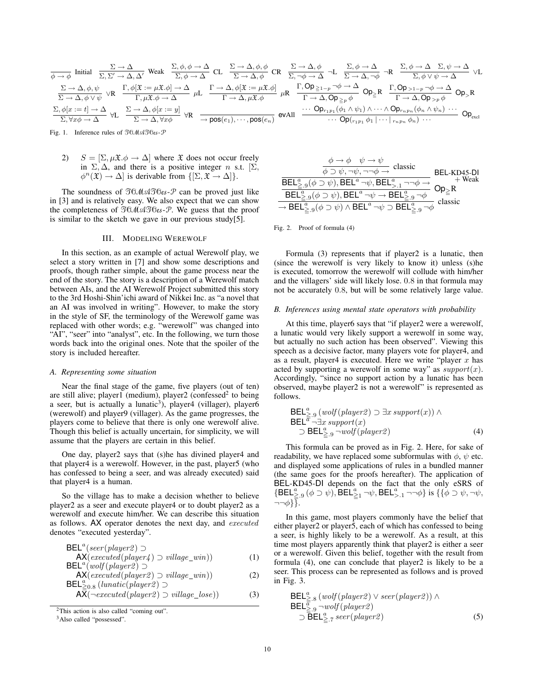$$
\begin{array}{l} \frac{\Sigma \rightarrow \Delta}{\phi \rightarrow \phi} \text{ Initial } \frac{\Sigma \rightarrow \Delta}{\Sigma, \Sigma' \rightarrow \Delta, \Delta'} \text{ Weak } \frac{\Sigma, \phi, \phi \rightarrow \Delta}{\Sigma, \phi \rightarrow \Delta} \text{ CL } \frac{\Sigma \rightarrow \Delta, \phi, \phi}{\Sigma \rightarrow \Delta, \phi} \text{ CR } \frac{\Sigma \rightarrow \Delta, \phi}{\Sigma, \neg \phi \rightarrow \Delta} \neg L \frac{\Sigma, \phi \rightarrow \Delta}{\Sigma \rightarrow \Delta, \neg \phi} \neg R \frac{\Sigma, \phi \rightarrow \Delta}{\Sigma, \phi \rightarrow \Delta} \text{ VL} \\ \frac{\Sigma \rightarrow \Delta, \phi, \psi}{\Sigma \rightarrow \Delta, \phi \lor \psi} \lor R \frac{\Gamma, \phi[\mathfrak{X} := \mu \mathfrak{X}. \phi] \rightarrow \Delta}{\Gamma, \mu \mathfrak{X}. \phi \rightarrow \Delta} \mu L \frac{\Gamma \rightarrow \Delta, \phi[\mathfrak{X} := \mu \mathfrak{X}. \phi]}{\Gamma \rightarrow \Delta, \mu \mathfrak{X}. \phi} \mu R \frac{\Gamma, \text{Op}_{\geq 1-p} \neg \phi \rightarrow \Delta}{\Gamma \rightarrow \Delta, \text{Op}_{\geq p} \phi} \text{Op}_{\geq} R \frac{\Gamma, \text{Op}_{>1-p} \neg \phi \rightarrow \Delta}{\Gamma \rightarrow \Delta, \text{Op}_{>p} \phi} \text{Op}_{>R} \\ \frac{\Sigma, \phi[x := t] \rightarrow \Delta}{\Sigma, \forall x \phi \rightarrow \Delta} \text{ VL } \frac{\Sigma \rightarrow \Delta, \phi[x := y]}{\Sigma \rightarrow \Delta, \forall x \phi} \text{ VR } \frac{\neg \text{pos}(e_1), \cdots, \text{pos}(e_n)}{\neg \text{pos}(e_1), \cdots, \text{pos}(e_n)} \text{eval} \frac{\cdots \text{Op}_{r_1 p_1}(\phi_1 \land \psi_1) \land \cdots \land \text{Op}_{r_n p_n}(\phi_n \land \psi_n) \cdots}{\cdots \text{Op}(r_{r_1 p_1} \phi_1 | \cdots |_{r_n p_n} \phi_n) \cdots} \text{Op}_{\text{excl}} \end{array}
$$

Fig. 1. Inference rules of TOMATO*es*-P

2)  $S = [\Sigma, \mu \mathfrak{X} \cdot \phi \rightarrow \Delta]$  where  $\mathfrak{X}$  does not occur freely in  $\Sigma$ ,  $\Delta$ , and there is a positive integer n s.t.  $[\Sigma]$ ,  $\phi^n(\mathfrak{X}) \to \Delta$  is derivable from  $\{[\Sigma, \mathfrak{X} \to \Delta]\}.$ 

The soundness of TOMATO*es*-P can be proved just like in [3] and is relatively easy. We also expect that we can show the completeness of TOMATO*es*-P. We guess that the proof is similar to the sketch we gave in our previous study[5].

#### III. MODELING WEREWOLF

In this section, as an example of actual Werewolf play, we select a story written in [7] and show some descriptions and proofs, though rather simple, about the game process near the end of the story. The story is a description of a Werewolf match between AIs, and the AI Werewolf Project submitted this story to the 3rd Hoshi-Shin'ichi award of Nikkei Inc. as "a novel that an AI was involved in writing". However, to make the story in the style of SF, the terminology of the Werewolf game was replaced with other words; e.g. "werewolf" was changed into "AI", "seer" into "analyst", etc. In the following, we turn those words back into the original ones. Note that the spoiler of the story is included hereafter.

## *A. Representing some situation*

Near the final stage of the game, five players (out of ten) are still alive; player1 (medium), player2 (confessed<sup>2</sup> to being a seer, but is actually a lunatic<sup>3</sup>), player4 (villager), player6 (werewolf) and player9 (villager). As the game progresses, the players come to believe that there is only one werewolf alive. Though this belief is actually uncertain, for simplicity, we will assume that the players are certain in this belief.

One day, player2 says that (s)he has divined player4 and that player4 is a werewolf. However, in the past, player5 (who has confessed to being a seer, and was already executed) said that player4 is a human.

So the village has to make a decision whether to believe player2 as a seer and execute player4 or to doubt player2 as a werewolf and execute him/her. We can describe this situation as follows. AX operator denotes the next day, and *executed* denotes "executed yesterday".

$$
\text{BEL}^a(\text{seer}(\text{player2}) \supset
$$
  
\nAX(\text{executed}(\text{player4}) \supset \text{village\\_win})) (1)  
\nBEL}^a(\text{wolf}(\text{player2}) \supset

$$
AX(executed(player 2) \supset village\_win))
$$
\n
$$
BEL_{20.8}^{s} (lunitc(player 2) \supset \text{village\_win}))
$$
\n
$$
(2)
$$

$$
\mathsf{A}\overline{\overline{\mathsf{X}}}(\neg\mathit{executed}(\mathit{player2}) \supset \mathit{village\_lose}))\tag{3}
$$

3Also called "possessed".

| $\frac{\phi \to \phi \quad \psi \to \psi}{\phi \supset \psi, \neg \psi, \neg \neg \phi \to} \text{ classic}$                                  | BEL-KD45-DI         |
|-----------------------------------------------------------------------------------------------------------------------------------------------|---------------------|
| $\overline{\mathsf{BEL}}_{\geq .9}^a(\phi \supset \psi), \mathsf{BEL}^a \neg \psi, \mathsf{BEL}^a_{\gt, .1} \neg \neg \phi \rightarrow \psi$  | + Weak<br>$Op_{>}R$ |
| $\overline{\textsf{BEL}^a_{\geq 9}(\phi \supset \psi), \textsf{BEL}^a \neg \psi \rightarrow \textsf{BEL}^a_{\geq 9} \neg \phi}$               |                     |
| $\rightarrow$ BEL $^a_{>9}(\phi \supset \psi) \wedge$ BEL <sup>a</sup> $\neg \psi \supset$ BEL <sub><math>^a_{&gt;9}</math></sub> $\neg \phi$ | classic             |

Fig. 2. Proof of formula (4)

Formula (3) represents that if player2 is a lunatic, then (since the werewolf is very likely to know it) unless (s)he is executed, tomorrow the werewolf will collude with him/her and the villagers' side will likely lose. 0.8 in that formula may not be accurately 0.8, but will be some relatively large value.

#### *B. Inferences using mental state operators with probability*

At this time, player6 says that "if player2 were a werewolf, a lunatic would very likely support a werewolf in some way, but actually no such action has been observed". Viewing this speech as a decisive factor, many players vote for player4, and as a result, player4 is executed. Here we write "player  $x$  has acted by supporting a werewolf in some way" as  $support(x)$ . Accordingly, "since no support action by a lunatic has been observed, maybe player2 is not a werewolf" is represented as follows.

$$
\begin{array}{l}\n\mathsf{BEL}_{\geq .9}^{a} \left( \text{wolf} \left( \text{player2} \right) \supset \exists x \text{ support}(x) \right) \land \\
\mathsf{BEL}_{a}^{a} \neg \exists x \text{ support}(x) \\
\supset \mathsf{BEL}_{\geq .9}^{a} \neg \text{wolf} \left( \text{player2} \right) \n\end{array} \tag{4}
$$

This formula can be proved as in Fig. 2. Here, for sake of readability, we have replaced some subformulas with  $\phi$ ,  $\psi$  etc. and displayed some applications of rules in a bundled manner (the same goes for the proofs hereafter). The application of BEL-KD45-DI depends on the fact that the only eSRS of  $\{\textsf{BEL}^a_{\geq 0}(\phi \supset \psi), \textsf{BEL}^a_{\geq 1} \neg \psi, \textsf{BEL}^a_{>1} \neg \neg \phi\} \text{ is } \{\{\phi \supset \psi, \neg \psi,$  $\neg\neg\phi$ }.

In this game, most players commonly have the belief that either player2 or player5, each of which has confessed to being a seer, is highly likely to be a werewolf. As a result, at this time most players apparently think that player2 is either a seer or a werewolf. Given this belief, together with the result from formula (4), one can conclude that player2 is likely to be a seer. This process can be represented as follows and is proved in Fig. 3.

$$
\text{BEL}_{\frac{\alpha}{\alpha}.8}^{a} (wolf(\text{player2}) \vee \text{seer}(\text{player2})) \wedge
$$
\n
$$
\text{BEL}_{\geq .9}^{a} \neg \text{wolf}(\text{player2})
$$
\n
$$
\supset \text{BEL}_{\geq .7}^{a} \text{seer}(\text{player2})
$$
\n(5)

 $2$ This action is also called "coming out".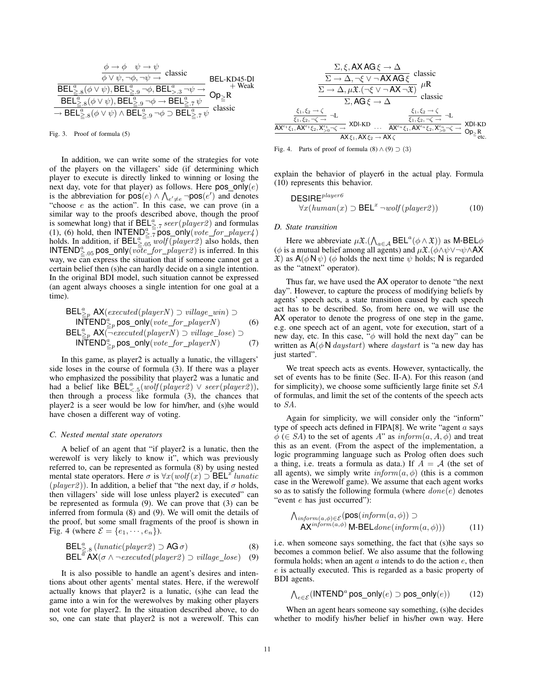$$
\frac{\phi \to \phi \quad \psi \to \psi}{\phi \lor \psi, \neg \phi, \neg \psi \to} \text{ classic}
$$
\n
$$
\frac{\overline{\text{BEL}}_{\geq .8}^a(\phi \lor \psi), \overline{\text{BEL}}_{\geq .9}^a \neg \phi, \overline{\text{BEL}}_{\geq .3}^a \neg \psi \to}{\overline{\text{BEL}}_{\geq .8}^a(\phi \lor \psi), \overline{\text{BEL}}_{\geq .9}^a \neg \phi \to \overline{\text{BEL}}_{\geq .7}^a \psi} \text{Op}_{\geq} R}{\overline{\text{BEL}}_{\geq .8}^a(\phi \lor \psi), \overline{\text{BEL}}_{\geq .9}^a \neg \phi \to \overline{\text{BEL}}_{\geq .7}^a \psi} \text{ classic}
$$

Fig. 3. Proof of formula (5)

In addition, we can write some of the strategies for vote of the players on the villagers' side (if determining which player to execute is directly linked to winning or losing the next day, vote for that player) as follows. Here  $pos\_only(e)$ is the abbreviation for  $pos(e) \wedge \bigwedge_{e' \neq e} \neg pos(e')$  and denotes "choose  $e$  as the action". In this case, we can prove (in a similar way to the proofs described above, though the proof is somewhat long) that if  $BEL^a_{\geq 7} seer(player 2)$  and formulas (1), (6) hold, then  $INTERD^a \geq 7$  pos only(vote for player4) holds. In addition, if  $BEL_{\geq .05}^{\alpha}$  wolf  $(\text{player2})$  also holds, then **INTEND**<sup>a</sup><sub>2.05</sub> pos\_only( $v\overline{ote\_for\_player2}$ ) is inferred. In this way, we can express the situation that if someone cannot get a certain belief then (s)he can hardly decide on a single intention. In the original BDI model, such situation cannot be expressed (an agent always chooses a single intention for one goal at a time).

$$
\text{BEL}_{\geq p}^{\text{a}} \mathsf{AX}(executed(\text{player} N) \supset \text{village\_win}) \supset \text{INTEND}_{\geq p}^{\text{a}} \mathsf{pos\_only}(\text{vote\_for\_player} N) \tag{6}
$$
\n
$$
\text{BEL}_{\geq p}^{\text{a}} \mathsf{AX}(\neg executed(\text{player} N) \supset \text{village\_lose}) \supset \text{INTEND}_{\geq p}^{\text{a}} \mathsf{pos\_only}(\text{vote\_for\_player} N) \tag{7}
$$

In this game, as player2 is actually a lunatic, the villagers' side loses in the course of formula (3). If there was a player who emphasized the possibility that player2 was a lunatic and had a belief like  $\mathsf{BEL}_{\leq.5}^a(wolf(\mathit{player2}) \vee \mathit{seer}(\mathit{player2})),$ then through a process like formula (3), the chances that player2 is a seer would be low for him/her, and (s)he would have chosen a different way of voting.

#### *C. Nested mental state operators*

A belief of an agent that "if player2 is a lunatic, then the werewolf is very likely to know it", which was previously referred to, can be represented as formula (8) by using nested mental state operators. Here  $\sigma$  is  $\forall x (wolf(x) \supset \text{BEL}^x$  lunatic  $(\text{player2})$ ). In addition, a belief that "the next day, if  $\sigma$  holds, then villagers' side will lose unless player2 is executed" can be represented as formula (9). We can prove that (3) can be inferred from formula (8) and (9). We will omit the details of the proof, but some small fragments of the proof is shown in Fig. 4 (where  $\mathcal{E} = \{e_1, \dots, e_n\}$ ).

$$
\text{BEL}^a_{\geq .8} \left( \text{lomatic}(\text{player2}) \supset \text{AG } \sigma \right) \tag{8}
$$

$$
\text{BEL}^{\overline{a}} \mathsf{AX}(\sigma \wedge \neg \text{executed}(player2) \supset \text{village\_lose}) \quad (9)
$$

It is also possible to handle an agent's desires and intentions about other agents' mental states. Here, if the werewolf actually knows that player2 is a lunatic, (s)he can lead the game into a win for the werewolves by making other players not vote for player2. In the situation described above, to do so, one can state that player2 is not a werewolf. This can

$$
\frac{\Sigma, \xi, AXAG\xi \to \Delta}{\Sigma \to \Delta, \neg \xi \lor \neg AXAG\xi} \text{ classic}
$$
\n
$$
\frac{\Sigma \to \Delta, \psi \mathfrak{X}.(\neg \xi \lor \neg AX \neg \mathfrak{X})}{\Sigma \to \Delta, \mu \mathfrak{X}.(\neg \xi \lor \neg AX \neg \mathfrak{X})} \mu R
$$
\n
$$
\Sigma, AG\xi \to \Delta
$$
\n
$$
\frac{\xi_1, \xi_2 \to \zeta}{\xi_1, \xi_2, \neg \zeta \to} \neg L
$$
\n
$$
\frac{\xi_1, \xi_2 \to \zeta}{\lambda X^{\epsilon_1} \xi_1, AX^{\epsilon_1} \xi_2, X^{\epsilon_2} \neg \zeta \to} \text{XDI-KD} \dots \quad \frac{\xi_1, \xi_2 \to \zeta}{AX^{\epsilon_n} \xi_1, Ax^{\epsilon_n} \xi_2, X^{\epsilon_n} \neg \zeta \to} \text{XDI-KD} \text{AX} \xi_1, AX^{\epsilon_2} \to AX\zeta
$$

Fig. 4. Parts of proof of formula  $(8) \wedge (9) \supset (3)$ 

explain the behavior of player6 in the actual play. Formula (10) represents this behavior.

$$
DESIRE^{player 6}
$$
  

$$
\forall x (human(x) \supset BEL^x \neg wolf(player 2))
$$
 (10)

#### *D. State transition*

Here we abbreviate  $\mu \mathfrak{X} \cdot (\bigwedge_{a \in \mathcal{A}} \text{BEL}^a(\phi \wedge \mathfrak{X}))$  as M-BEL $\phi$ ( $\phi$  is a mutual belief among all agents) and  $\mu \mathfrak{X}.(\phi \land \psi \lor \neg \psi \land AX)$  $\mathfrak{X}$ ) as  $A(\phi \mathsf{N}\,\psi)$  ( $\phi$  holds the next time  $\psi$  holds; N is regarded as the "atnext" operator).

Thus far, we have used the AX operator to denote "the next day". However, to capture the process of modifying beliefs by agents' speech acts, a state transition caused by each speech act has to be described. So, from here on, we will use the AX operator to denote the progress of one step in the game, e.g. one speech act of an agent, vote for execution, start of a new day, etc. In this case,  $\phi$  will hold the next day" can be written as  $A(\phi \text{N} \text{ \textit{day} start})$  where *daystart* is "a new day has just started".

We treat speech acts as events. However, syntactically, the set of events has to be finite (Sec. II-A). For this reason (and for simplicity), we choose some sufficiently large finite set SA of formulas, and limit the set of the contents of the speech acts to SA.

Again for simplicity, we will consider only the "inform" type of speech acts defined in FIPA[8]. We write "agent  $a$  says  $\phi$  ( $\in$  SA) to the set of agents A" as  $\inf \{om}(a, A, \phi)$  and treat this as an event. (From the aspect of the implementation, a logic programming language such as Prolog often does such a thing, i.e. treats a formula as data.) If  $A = A$  (the set of all agents), we simply write  $\text{inform}(a, \phi)$  (this is a common case in the Werewolf game). We assume that each agent works so as to satisfy the following formula (where  $done(e)$  denotes "event *e* has just occurred"):

$$
\begin{array}{ll}\n\bigwedge_{\text{inform}(a,\phi)\in\mathcal{E}} (\text{pos}(\text{inform}(a,\phi)) \supset \\
\bigwedge X^{\text{inform}(a,\phi)} \text{M-BEL}_{\text{done}}(\text{inform}(a,\phi))\big) & (11)\n\end{array}
$$

i.e. when someone says something, the fact that (s)he says so becomes a common belief. We also assume that the following formula holds; when an agent  $a$  intends to do the action  $e$ , then e is actually executed. This is regarded as a basic property of BDI agents.

$$
\bigwedge_{e \in \mathcal{E}} (\mathsf{INTERD}^a \mathsf{pos\_only}(e) \supset \mathsf{pos\_only}(e)) \tag{12}
$$

When an agent hears someone say something, (s)he decides whether to modify his/her belief in his/her own way. Here